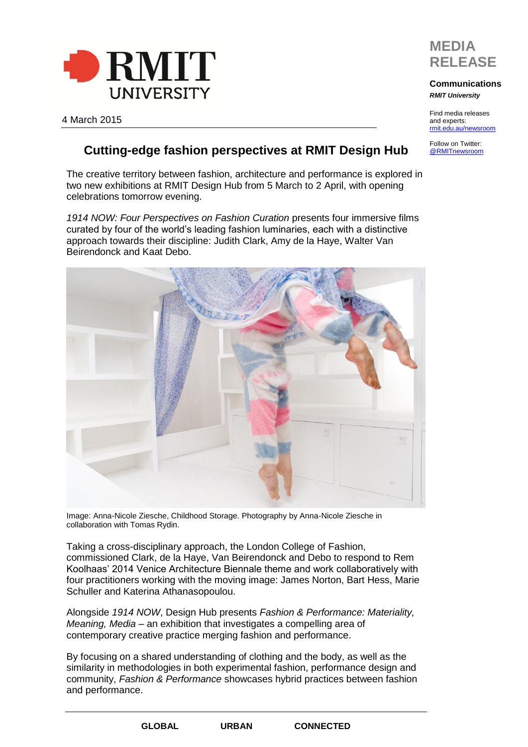



## **Communications** *RMIT University*

Find media releases and experts: [rmit.edu.au/newsroom](http://www.rmit.edu.au/news/newsroom)

Follow on Twitter: [@RMITnewsroom](https://twitter.com/rmitnewsroom)

4 March 2015

## **Cutting-edge fashion perspectives at RMIT Design Hub**

The creative territory between fashion, architecture and performance is explored in two new exhibitions at RMIT Design Hub from 5 March to 2 April, with opening celebrations tomorrow evening.

*1914 NOW: Four Perspectives on Fashion Curation* presents four immersive films curated by four of the world's leading fashion luminaries, each with a distinctive approach towards their discipline: Judith Clark, Amy de la Haye, Walter Van Beirendonck and Kaat Debo.



Image: Anna-Nicole Ziesche, Childhood Storage. Photography by Anna-Nicole Ziesche in collaboration with Tomas Rydin.

Taking a cross-disciplinary approach, the London College of Fashion, commissioned Clark, de la Haye, Van Beirendonck and Debo to respond to Rem Koolhaas' 2014 Venice Architecture Biennale theme and work collaboratively with four practitioners working with the moving image: James Norton, Bart Hess, Marie Schuller and Katerina Athanasopoulou.

Alongside *1914 NOW*, Design Hub presents *Fashion & Performance: Materiality, Meaning, Media –* an exhibition that investigates a compelling area of contemporary creative practice merging fashion and performance.

By focusing on a shared understanding of clothing and the body, as well as the similarity in methodologies in both experimental fashion, performance design and community, *Fashion & Performance* showcases hybrid practices between fashion and performance.